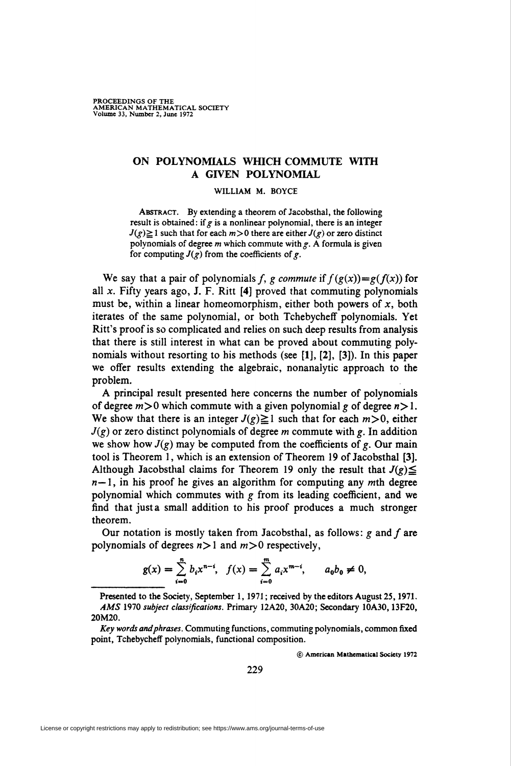## ON POLYNOMIALS WHICH COMMUTE WITH A GIVEN POLYNOMIAL

WILLIAM M. BOYCE

Abstract. By extending a theorem of Jacobsthal, the following result is obtained: if  $g$  is a nonlinear polynomial, there is an integer  $J(g) \ge 1$  such that for each  $m > 0$  there are either  $J(g)$  or zero distinct polynomials of degree m which commute with  $g$ . A formula is given for computing  $J(g)$  from the coefficients of g.

We say that a pair of polynomials f, g commute if  $f(g(x))=g(f(x))$  for all  $x$ . Fifty years ago, J. F. Ritt  $[4]$  proved that commuting polynomials must be, within a linear homeomorphism, either both powers of  $x$ , both iterates of the same polynomial, or both Tchebycheff polynomials. Yet Ritt's proof is so complicated and relies on such deep results from analysis that there is still interest in what can be proved about commuting polynomials without resorting to bis methods (see [1], [2], [3]). In this paper we offer results extending the algebraic, nonanalytic approach to the problem.

A principal result presented here concerns the number of polynomials of degree  $m > 0$  which commute with a given polynomial g of degree  $n > 1$ . We show that there is an integer  $J(g)\geq 1$  such that for each  $m>0$ , either  $J(g)$  or zero distinct polynomials of degree m commute with g. In addition we show how  $J(g)$  may be computed from the coefficients of g. Our main tool is Theorem 1, which is an extension of Theorem 19 of Jacobsthal [3]. Although Jacobsthal claims for Theorem 19 only the result that  $J(g) \leq$  $n-1$ , in his proof he gives an algorithm for computing any mth degree polynomial which commutes with  $g$  from its leading coefficient, and we find that justa small addition to his proof produces a much stronger theorem.

Our notation is mostly taken from Jacobsthal, as follows:  $g$  and  $f$  are polynomials of degrees  $n>1$  and  $m>0$  respectively,

$$
g(x) = \sum_{i=0}^{n} b_i x^{n-i}, \quad f(x) = \sum_{i=0}^{m} a_i x^{m-i}, \qquad a_0 b_0 \neq 0,
$$

Presented to the Society, September 1, 1971; received by the editors August 25, 1971. AMS 1970 subject classifications. Primary 12A20, 30A20; Secondary 10A30,13F20, 20M20.

Key words and phrases. Commuting functions, commuting polynomials, common fixed point, Tchebycheff polynomials, functional composition.

© American Mathematical Society 1972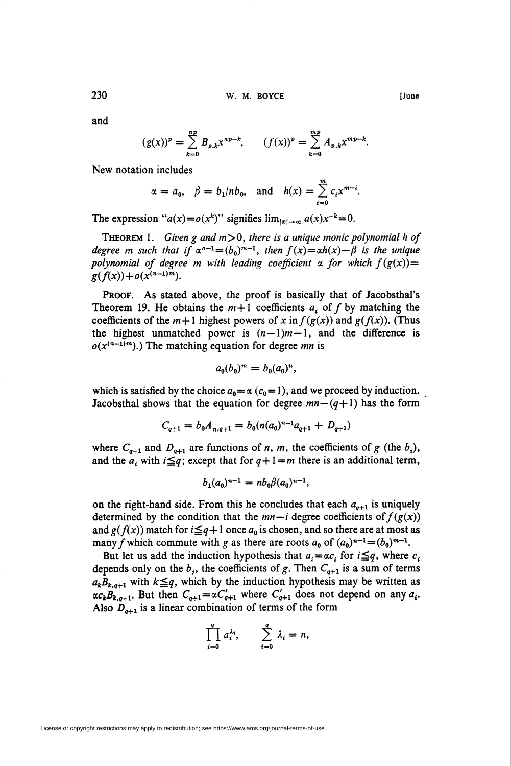and

$$
(g(x))^p = \sum_{k=0}^{np} B_{p,k} x^{np-k}, \qquad (f(x))^p = \sum_{k=0}^{mp} A_{p,k} x^{mp-k}.
$$

New notation includes

$$
\alpha = a_0, \quad \beta = b_1/nb_0, \text{ and } h(x) = \sum_{i=0}^{m} c_i x^{m-i}.
$$

The expression " $a(x)=o(x^k)$ " signifies  $\lim_{|x|\to\infty} a(x)x^{-k}=0$ .

THEOREM 1. Given g and  $m > 0$ , there is a unique monic polynomial h of degree m such that if  $\alpha^{n-1}=(b_0)^{m-1}$ , then  $f(x) = xh(x) - \beta$  is the unique polynomial of degree m with leading coefficient a for which  $f(g(x))=$  $g(f(x))+o(x^{(n-1)m}).$ 

PROOF. As stated above, the proof is basically that of Jacobsthal's Theorem 19. He obtains the  $m+1$  coefficients  $a_i$  of f by matching the coefficients of the  $m+1$  highest powers of x in  $f(g(x))$  and  $g(f(x))$ . (Thus the highest unmatched power is  $(n-1)m-1$ , and the difference is  $o(x^{(n-1)m})$ .) The matching equation for degree mn is

$$
a_0(b_0)^m = b_0(a_0)^n,
$$

which is satisfied by the choice  $a_0 = \alpha$  ( $c_0 = 1$ ), and we proceed by induction. Jacobsthal shows that the equation for degree  $mn-(q+1)$  has the form

$$
C_{q+1} = b_0 A_{n,q+1} = b_0 (n(a_0)^{n-1} a_{q+1} + D_{q+1})
$$

where  $C_{q+1}$  and  $D_{q+1}$  are functions of n, m, the coefficients of g (the  $b_i$ ), and the  $a_i$  with  $i \leq q$ ; except that for  $q+\,l=m$  there is an additional term,

$$
b_1(a_0)^{n-1} = nb_0\beta(a_0)^{n-1},
$$

on the right-hand side. From this he concludes that each  $a_{q+1}$  is uniquely determined by the condition that the  $mn-i$  degree coefficients of  $f(g(x))$ and  $g(f(x))$  match for  $i\leq q+1$  once  $a_0$  is chosen, and so there are at most as many f which commute with g as there are roots  $a_0$  of  $(a_0)^{n-1}=(b_0)^{m-1}$ .

But let us add the induction hypothesis that  $a_i = \alpha c_i$  for  $i \leq q$ , where  $c_i$ depends only on the  $b_j$ , the coefficients of g. Then  $C_{q+1}$  is a sum of terms  $a_kB_{k,q+1}$  with  $k\leq q$ , which by the induction hypothesis may be written as  $\alpha c_k B_{k,q+1}$ . But then  $C_{q+1} = \alpha C'_{q+1}$  where  $C'_{q+1}$  does not depend on any  $a_i$ . Also  $D_{q+1}$  is a linear combination of terms of the form

$$
\prod_{i=0}^4 a_i^{\lambda_i}, \qquad \sum_{i=0}^4 \lambda_i = n,
$$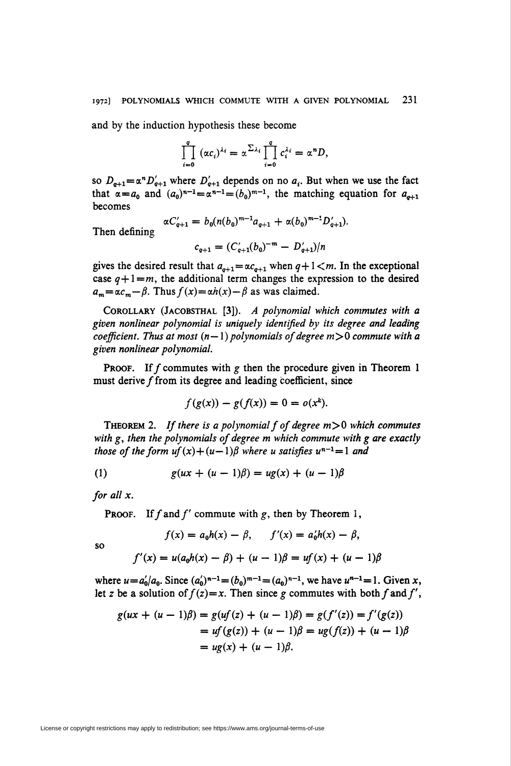and by the induction hypothesis these become

$$
\prod_{i=0}^q (\alpha c_i)^{\lambda_i} = \alpha^{\sum_{\lambda_i}} \prod_{i=0}^q c_i^{\lambda_i} = \alpha^n D,
$$

so  $D_{q+1} = \alpha^n D'_{q+1}$  where  $D'_{q+1}$  depends on no  $a_i$ . But when we use the fact that  $\alpha = a_0$  and  $(a_0)^{n-1} = \alpha^{n-1} = (b_0)^{m-1}$ , the matching equation for  $a_{n+1}$ becomes

Then defining

$$
\alpha C'_{q+1} = b_0 (n(b_0)^{m-1} a_{q+1} + \alpha(b_0)^{m-1} D'_{q+1}).
$$
  

$$
c_{q+1} = (C'_{q+1}(b_0)^{-m} - D'_{q+1})/n
$$

gives the desired result that  $a_{q+1} = \alpha c_{q+1}$  when  $q+1 < m$ . In the exceptional case  $q+1=m$ , the additional term changes the expression to the desired  $a_m = \alpha c_m - \beta$ . Thus  $f(x) = \alpha h(x) - \beta$  as was claimed.

COROLLARY (JACOBSTHAL [3]). A polynomial which commutes with a given nonlinear polynomial is uniquely identified by its degree and leading coefficient. Thus at most  $(n-1)$  polynomials of degree  $m>0$  commute with a given nonlinear polynomial.

**PROOF.** If f commutes with g then the procedure given in Theorem 1 must derive  $f$  from its degree and leading coefficient, since

$$
f(g(x)) - g(f(x)) = 0 = o(x^k).
$$

**THEOREM 2.** If there is a polynomial f of degree  $m > 0$  which commutes with g, then the polynomials of degree m which commute with g are exactly those of the form  $uf(x)+(u-1)\beta$  where u satisfies  $u^{n-1}=1$  and

(1) 
$$
g(ux + (u - 1)\beta) = ug(x) + (u - 1)\beta
$$

for all x.

**PROOF.** If f and f' commute with g, then by Theorem 1,

$$
f(x) = a_0 h(x) - \beta, \qquad f'(x) = a'_0 h(x) - \beta,
$$

so

$$
f'(x) = u(a_0h(x) - \beta) + (u - 1)\beta = uf(x) + (u - 1)\beta
$$

where  $u = a'_0/a_0$ . Since  $(a'_0)^{n-1} = (b_0)^{m-1} = (a_0)^{n-1}$ , we have  $u^{n-1} = 1$ . Given x, let z be a solution of  $f(z)=x$ . Then since g commutes with both f and f',

$$
g(ux + (u - 1)\beta) = g(uf(z) + (u - 1)\beta) = g(f'(z)) = f'(g(z))
$$
  
=  $uf(g(z)) + (u - 1)\beta = ug(f(z)) + (u - 1)\beta$   
=  $ug(x) + (u - 1)\beta$ .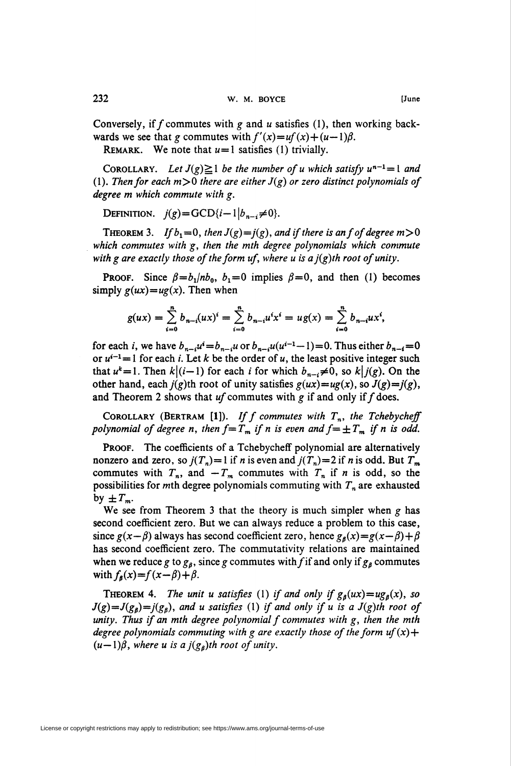Conversely, if f commutes with g and u satisfies (1), then working backwards we see that g commutes with  $f'(x)=uf(x)+(u-1)\beta$ .

REMARK. We note that  $u=1$  satisfies (1) trivially.

COROLLARY. Let  $J(g) \ge 1$  be the number of u which satisfy  $u^{n-1}= 1$  and (1). Then for each  $m>0$  there are either  $J(g)$  or zero distinct polynomials of degree m which commute with g.

DEFINITION.  $j(g) = GCD\{i-1 \mid b_{n-i}\neq 0\}.$ 

**THEOREM 3.** If  $b_1=0$ , then  $J(g)=j(g)$ , and if there is an f of degree  $m>0$ which commutes with g, then the mth degree polynomials which commute with g are exactly those of the form uf, where u is a  $j(g)$ th root of unity.

**PROOF.** Since  $\beta = b_1 / nb_0$ ,  $b_1 = 0$  implies  $\beta = 0$ , and then (1) becomes simply  $g(ux) = ug(x)$ . Then when

$$
g(ux) = \sum_{i=0}^{n} b_{n-i}(ux)^{i} = \sum_{i=0}^{n} b_{n-i}u^{i}x^{i} = ug(x) = \sum_{i=0}^{n} b_{n-i}ux^{i},
$$

for each *i*, we have  $b_{n-i}u^i=b_{n-i}u$  or  $b_{n-i}u(u^{i-1}-1)=0$ . Thus either  $b_{n-i}=0$ or  $u^{i-1}=1$  for each *i*. Let k be the order of *u*, the least positive integer such that  $u^k=1$ . Then  $k\,(i-1)$  for each *i* for which  $b_{n-i}\neq 0$ , so  $k\,j(g)$ . On the other hand, each  $j(g)$ th root of unity satisfies  $g(ux)=ug(x)$ , so  $J(g)=j(g)$ , and Theorem 2 shows that  $uf$  commutes with g if and only if  $f$  does.

COROLLARY (BERTRAM [1]). If f commutes with  $T_n$ , the Tchebycheff polynomial of degree n, then  $f = T_m$  if n is even and  $f = \pm T_m$  if n is odd.

PROOF. The coefficients of a Tchebycheff polynomial are alternatively nonzero and zero, so  $j(T_n)=1$  if n is even and  $j(T_n)=2$  if n is odd. But  $T_m$ commutes with  $T_n$ , and  $-T_m$  commutes with  $T_n$  if n is odd, so the possibilities for mth degree polynomials commuting with  $T_n$  are exhausted by  $\pm T_m$ .

We see from Theorem 3 that the theory is much simpler when  $g$  has second coefficient zero. But we can always reduce a problem to this case, since  $g(x-\beta)$  always has second coefficient zero, hence  $g_{\beta}(x)=g(x-\beta)+\beta$ has second coefficient zero. The commutativity relations are maintained when we reduce g to  $g_\beta$ , since g commutes with f if and only if  $g_\beta$  commutes with  $f_{\beta}(x)=f(x-\beta)+\beta$ .

**THEOREM 4.** The unit u satisfies (1) if and only if  $g_\beta(ux) = ug_\beta(x)$ , so  $J(g)=J(g_B)=j(g_B)$ , and u satisfies (1) if and only if u is a  $J(g)$ th root of unity. Thus if an mth degree polynomial  $f$  commutes with  $g$ , then the mth degree polynomials commuting with g are exactly those of the form uf  $(x)$  +  $(u-1)\beta$ , where u is a  $j(g_{\beta})$ th root of unity.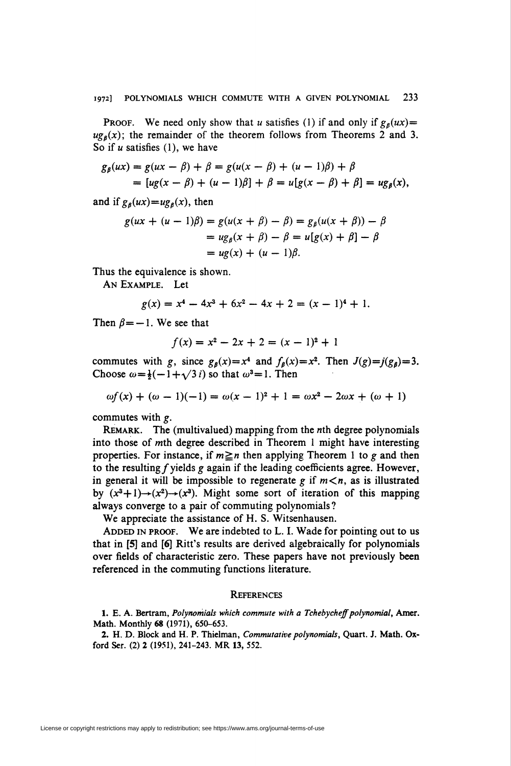**PROOF.** We need only show that u satisfies (1) if and only if  $g_\beta(ux)$  =  $u g<sub>0</sub>(x)$ ; the remainder of the theorem follows from Theorems 2 and 3. So if  $u$  satisfies (1), we have

$$
g_{\beta}(ux) = g(ux - \beta) + \beta = g(u(x - \beta) + (u - 1)\beta) + \beta
$$
  
= 
$$
[ug(x - \beta) + (u - 1)\beta] + \beta = u[g(x - \beta) + \beta] = ug_{\beta}(x),
$$

and if  $g_\beta(ux) = ug_\beta(x)$ , then

$$
g(ux + (u - 1)\beta) = g(u(x + \beta) - \beta) = g_{\beta}(u(x + \beta)) - \beta
$$
  
=  $ug_{\beta}(x + \beta) - \beta = u[g(x) + \beta] - \beta$   
=  $ug(x) + (u - 1)\beta$ .

Thus the equivalence is shown.

An Example. Let

$$
g(x) = x4 - 4x3 + 6x2 - 4x + 2 = (x - 1)4 + 1.
$$

Then  $\beta = -1$ . We see that

$$
f(x) = x^2 - 2x + 2 = (x - 1)^2 + 1
$$

commutes with g, since  $g_{\beta}(x)=x^4$  and  $f_{\beta}(x)=x^2$ . Then  $J(g)=j(g_{\beta})=3$ . Choose  $\omega = \frac{1}{2}(-1 + \sqrt{3} i)$  so that  $\omega^3 = 1$ . Then

$$
\omega f(x) + (\omega - 1)(-1) = \omega(x - 1)^2 + 1 = \omega x^2 - 2\omega x + (\omega + 1)
$$

commutes with g.

REMARK. The (multivalued) mapping from the nth degree polynomials into those of mth degree described in Theorem 1 might have interesting properties. For instance, if  $m \ge n$  then applying Theorem 1 to g and then to the resulting  $f$  yields  $g$  again if the leading coefficients agree. However, in general it will be impossible to regenerate g if  $m < n$ , as is illustrated by  $(x^3+1) \rightarrow (x^2) \rightarrow (x^3)$ . Might some sort of iteration of this mapping always converge to a pair of commuting polynomials ?

We appreciate the assistance of H. S. Witsenhausen.

ADDED IN PROOF. We are indebted to L. I. Wade for pointing out to us that in [5] and [6] Ritt's results are derived algebraically for polynomials over fields of characteristic zero. These papers have not previously been referenced in the commuting functions literature.

## **REFERENCES**

1. E. A. Bertram, Polynomials which commute with a Tchebycheff polynomial, Amer. Math. Monthly 68 (1971), 650-653.

2. H. D. Block and H. P. Thielman, Commutative polynomials, Quart. J. Math. Oxford Ser. (2) 2 (1951), 241-243. MR 13, 552.